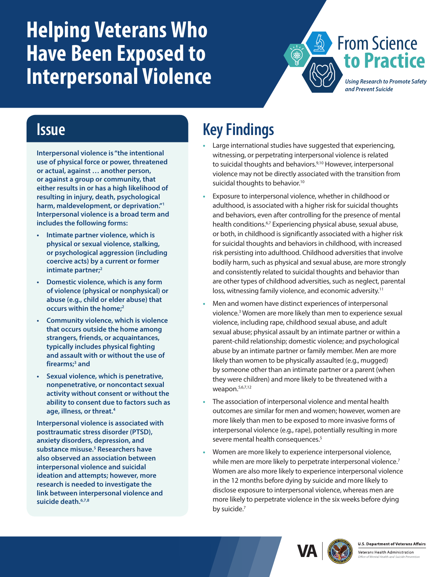# <span id="page-0-0"></span>**Helping Veterans Who Have Been Exposed to Interpersonal Violence**



#### **Issue**

**Interpersonal violence is "the intentional use of physical force or power, threatened or actual, against … another person, or against a group or community, that either results in or has a high likelihood of resulting in injury, death, psychological harm, maldevelopment, or deprivation.["1](#page-1-0) Interpersonal violence is a broad term and includes the following forms:**

- **• Intimate partner violence, which is physical or sexual violence, stalking, or psychological aggression (including coercive acts) by a current or former intimate partner**;<sup>2</sup>
- **• Domestic violence, which is any form of violence (physical or nonphysical) or abuse (e.g., child or elder abuse) that occurs within the home[;2](#page-1-1)**
- **• Community violence, which is violence that occurs outside the home among strangers, friends, or acquaintances, typically includes physical fighting and assault with or without the use of firearms;[3](#page-1-0) and**
- **• Sexual violence, which is penetrative, nonpenetrative, or noncontact sexual activity without consent or without the ability to consent due to factors such as age, illness, or threat[.4](#page-1-0)**

**Interpersonal violence is associated with posttraumatic stress disorder (PTSD), anxiety disorders, depression, and substance misuse.[5](#page-1-0) Researchers have also observed an association between interpersonal violence and suicidal ideation and attempts; however, more research is needed to investigate the link between interpersonal violence and suicide death.[6,7,8](#page-1-0)**

## **Key Findings**

- **•** Large international studies have suggested that experiencing, witnessing, or perpetrating interpersonal violence is related to suicidal thoughts and behaviors.<sup>9,10</sup> However, interpersonal violence may not be directly associated with the transition from suicidal thoughts to behavior.<sup>10</sup>
- **•** Exposure to interpersonal violence, whether in childhood or adulthood, is associated with a higher risk for suicidal thoughts and behaviors, even after controlling for the presence of mental health conditions.<sup>6,7</sup> Experiencing physical abuse, sexual abuse, or both, in childhood is significantly associated with a higher risk for suicidal thoughts and behaviors in childhood, with increased risk persisting into adulthood. Childhood adversities that involve bodily harm, such as physical and sexual abuse, are more strongly and consistently related to suicidal thoughts and behavior than are other types of childhood adversities, such as neglect, parental loss, witnessing family violence, and economic adversity.<sup>[11](#page-1-0)</sup>
- **•** Men and women have distinct experiences of interpersonal violence.<sup>3</sup> Women are more likely than men to experience sexual violence, including rape, childhood sexual abuse, and adult sexual abuse; physical assault by an intimate partner or within a parent-child relationship; domestic violence; and psychological abuse by an intimate partner or family member. Men are more likely than women to be physically assaulted (e.g., mugged) by someone other than an intimate partner or a parent (when they were children) and more likely to be threatened with a weapon[.5](#page-1-5)[,](#page-1-0)[6](#page-1-3)[,](#page-1-0)[7](#page-1-6)[,12](#page-1-0)
- **•** The association of interpersonal violence and mental health outcomes are similar for men and women; however, women are more likely than men to be exposed to more invasive forms of interpersonal violence (e.g., rape), potentially resulting in more severe mental health consequences.<sup>5</sup>
- **•** Women are more likely to experience interpersonal violence, while men are more likely to perpetrate interpersonal violence.<sup>7</sup> Women are also more likely to experience interpersonal violence in the 12 months before dying by suicide and more likely to disclose exposure to interpersonal violence, whereas men are more likely to perpetrate violence in the six weeks before dying by suicide.<sup>[7](#page-1-6)</sup>